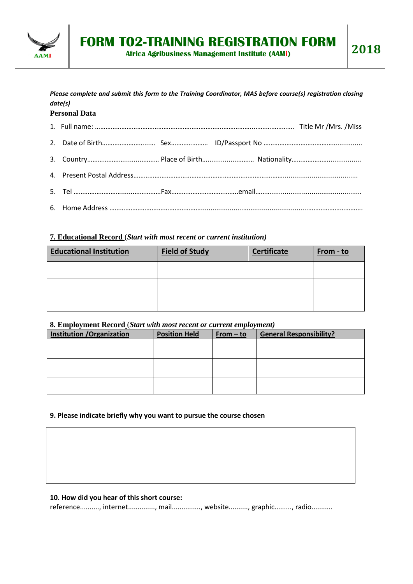

*Please complete and submit this form to the Training Coordinator, MAS before course(s) registration closing date(s)*

# **Personal Data**

## **7. Educational Record** (*Start with most recent or current institution)*

| <b>Educational Institution</b> | <b>Field of Study</b> | <b>Certificate</b> | From - to |
|--------------------------------|-----------------------|--------------------|-----------|
|                                |                       |                    |           |
|                                |                       |                    |           |
|                                |                       |                    |           |

### **8. Employment Record** (*Start with most recent or current employment)*

| <b>Institution / Organization</b> | <b>Position Held</b> | $From - to$ | <b>General Responsibility?</b> |
|-----------------------------------|----------------------|-------------|--------------------------------|
|                                   |                      |             |                                |
|                                   |                      |             |                                |
|                                   |                      |             |                                |
|                                   |                      |             |                                |
|                                   |                      |             |                                |
|                                   |                      |             |                                |

# **9. Please indicate briefly why you want to pursue the course chosen**

## **10. How did you hear of this short course:**

reference.........., internet.............., mail..............., website.........., graphic........., radio...........